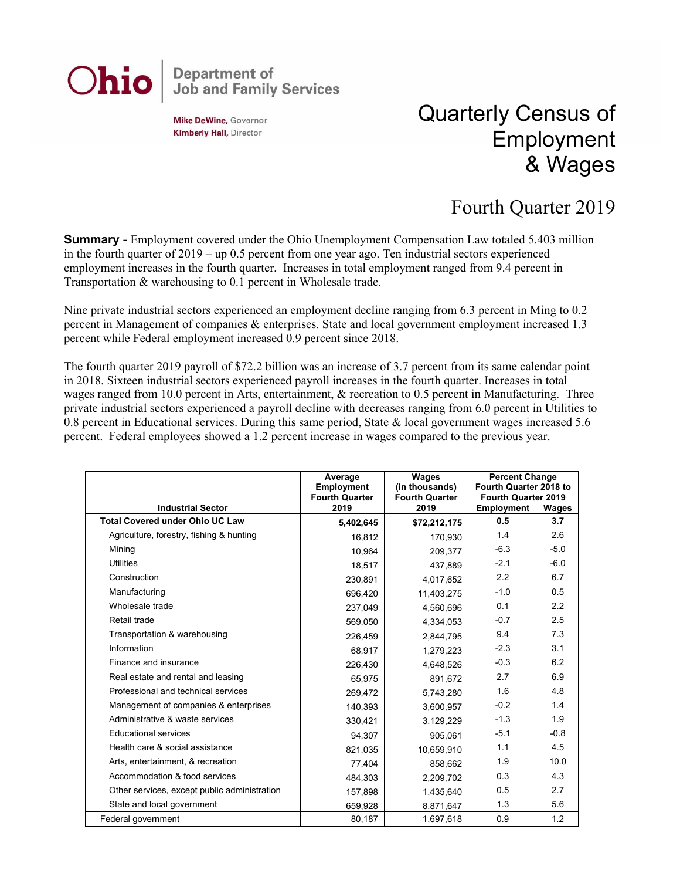## **Department of<br>Job and Family Services** Ohio

**Mike DeWine, Governor Kimberly Hall, Director** 

## Quarterly Census of Employment & Wages

## Fourth Quarter 2019

**Summary** - Employment covered under the Ohio Unemployment Compensation Law totaled 5.403 million in the fourth quarter of 2019 – up 0.5 percent from one year ago. Ten industrial sectors experienced employment increases in the fourth quarter. Increases in total employment ranged from 9.4 percent in Transportation & warehousing to 0.1 percent in Wholesale trade.

Nine private industrial sectors experienced an employment decline ranging from 6.3 percent in Ming to 0.2 percent in Management of companies & enterprises. State and local government employment increased 1.3 percent while Federal employment increased 0.9 percent since 2018.

The fourth quarter 2019 payroll of \$72.2 billion was an increase of 3.7 percent from its same calendar point in 2018. Sixteen industrial sectors experienced payroll increases in the fourth quarter. Increases in total wages ranged from 10.0 percent in Arts, entertainment, & recreation to 0.5 percent in Manufacturing. Three private industrial sectors experienced a payroll decline with decreases ranging from 6.0 percent in Utilities to 0.8 percent in Educational services. During this same period, State & local government wages increased 5.6 percent. Federal employees showed a 1.2 percent increase in wages compared to the previous year.

|                                              | Average<br>Employment<br><b>Fourth Quarter</b> | Wages<br>(in thousands)<br><b>Fourth Quarter</b> | <b>Percent Change</b><br>Fourth Quarter 2018 to<br>Fourth Quarter 2019 |        |
|----------------------------------------------|------------------------------------------------|--------------------------------------------------|------------------------------------------------------------------------|--------|
| <b>Industrial Sector</b>                     | 2019                                           | 2019                                             | <b>Employment</b>                                                      | Wages  |
| <b>Total Covered under Ohio UC Law</b>       | 5,402,645                                      | \$72,212,175                                     | 0.5                                                                    | 3.7    |
| Agriculture, forestry, fishing & hunting     | 16,812                                         | 170,930                                          | 1.4                                                                    | 2.6    |
| Mining                                       | 10.964                                         | 209.377                                          | $-6.3$                                                                 | $-5.0$ |
| <b>Utilities</b>                             | 18,517                                         | 437,889                                          | $-2.1$                                                                 | $-6.0$ |
| Construction                                 | 230,891                                        | 4,017,652                                        | 2.2                                                                    | 6.7    |
| Manufacturing                                | 696,420                                        | 11,403,275                                       | $-1.0$                                                                 | 0.5    |
| Wholesale trade                              | 237,049                                        | 4,560,696                                        | 0.1                                                                    | 2.2    |
| Retail trade                                 | 569.050                                        | 4,334,053                                        | $-0.7$                                                                 | 2.5    |
| Transportation & warehousing                 | 226,459                                        | 2,844,795                                        | 9.4                                                                    | 7.3    |
| Information                                  | 68,917                                         | 1,279,223                                        | $-2.3$                                                                 | 3.1    |
| Finance and insurance                        | 226,430                                        | 4,648,526                                        | $-0.3$                                                                 | 6.2    |
| Real estate and rental and leasing           | 65,975                                         | 891,672                                          | 2.7                                                                    | 6.9    |
| Professional and technical services          | 269,472                                        | 5,743,280                                        | 1.6                                                                    | 4.8    |
| Management of companies & enterprises        | 140,393                                        | 3,600,957                                        | $-0.2$                                                                 | 1.4    |
| Administrative & waste services              | 330,421                                        | 3,129,229                                        | $-1.3$                                                                 | 1.9    |
| <b>Educational services</b>                  | 94,307                                         | 905,061                                          | $-5.1$                                                                 | $-0.8$ |
| Health care & social assistance              | 821.035                                        | 10.659.910                                       | 1.1                                                                    | 4.5    |
| Arts, entertainment, & recreation            | 77,404                                         | 858,662                                          | 1.9                                                                    | 10.0   |
| Accommodation & food services                | 484,303                                        | 2,209,702                                        | 0.3                                                                    | 4.3    |
| Other services, except public administration | 157,898                                        | 1,435,640                                        | 0.5                                                                    | 2.7    |
| State and local government                   | 659,928                                        | 8,871,647                                        | 1.3                                                                    | 5.6    |
| Federal government                           | 80,187                                         | 1,697,618                                        | 0.9                                                                    | 1.2    |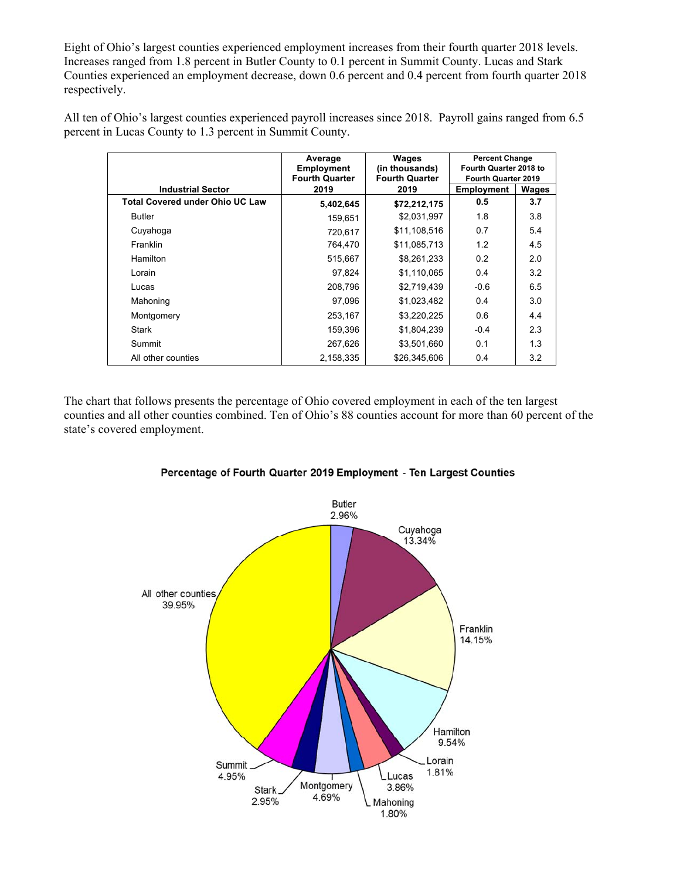Eight of Ohio's largest counties experienced employment increases from their fourth quarter 2018 levels. Increases ranged from 1.8 percent in Butler County to 0.1 percent in Summit County. Lucas and Stark Counties experienced an employment decrease, down 0.6 percent and 0.4 percent from fourth quarter 2018 respectively.

All ten of Ohio's largest counties experienced payroll increases since 2018. Payroll gains ranged from 6.5 percent in Lucas County to 1.3 percent in Summit County.

|                                        | Average                                    | Wages                                   | <b>Percent Change</b><br>Fourth Quarter 2018 to<br>Fourth Quarter 2019 |       |
|----------------------------------------|--------------------------------------------|-----------------------------------------|------------------------------------------------------------------------|-------|
|                                        | <b>Employment</b><br><b>Fourth Quarter</b> | (in thousands)<br><b>Fourth Quarter</b> |                                                                        |       |
| <b>Industrial Sector</b>               | 2019                                       | 2019                                    | Employment                                                             | Wages |
| <b>Total Covered under Ohio UC Law</b> | 5,402,645                                  | \$72,212,175                            | 0.5                                                                    | 3.7   |
| <b>Butler</b>                          | 159,651                                    | \$2,031,997                             | 1.8                                                                    | 3.8   |
| Cuyahoga                               | 720,617                                    | \$11,108,516                            | 0.7                                                                    | 5.4   |
| Franklin                               | 764,470                                    | \$11,085,713                            | 1.2                                                                    | 4.5   |
| Hamilton                               | 515,667                                    | \$8,261,233                             | 0.2                                                                    | 2.0   |
| Lorain                                 | 97,824                                     | \$1,110,065                             | 0.4                                                                    | 3.2   |
| Lucas                                  | 208,796                                    | \$2,719,439                             | $-0.6$                                                                 | 6.5   |
| Mahoning                               | 97,096                                     | \$1,023,482                             | 0.4                                                                    | 3.0   |
| Montgomery                             | 253,167                                    | \$3,220,225                             | 0.6                                                                    | 4.4   |
| <b>Stark</b>                           | 159,396                                    | \$1,804,239                             | $-0.4$                                                                 | 2.3   |
| Summit                                 | 267.626                                    | \$3,501,660                             | 0.1                                                                    | 1.3   |
| All other counties                     | 2,158,335                                  | \$26,345,606                            | 0.4                                                                    | 3.2   |

The chart that follows presents the percentage of Ohio covered employment in each of the ten largest counties and all other counties combined. Ten of Ohio's 88 counties account for more than 60 percent of the state's covered employment.



Percentage of Fourth Quarter 2019 Employment - Ten Largest Counties